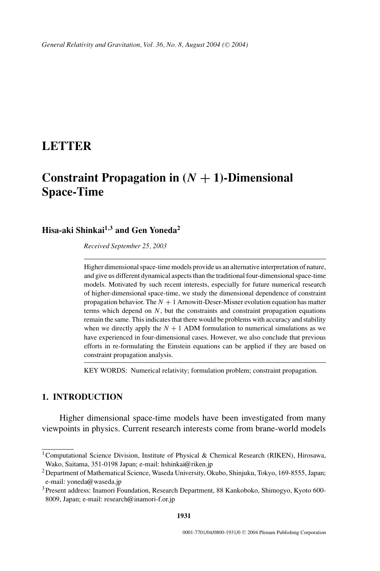## **LETTER**

# **Constraint Propagation in**  $(N + 1)$ -Dimensional **Space-Time**

## **Hisa-aki Shinkai1***,***<sup>3</sup> and Gen Yoneda<sup>2</sup>**

*Received September 25, 2003*

Higher dimensional space-time models provide us an alternative interpretation of nature, and give us different dynamical aspects than the traditional four-dimensional space-time models. Motivated by such recent interests, especially for future numerical research of higher-dimensional space-time, we study the dimensional dependence of constraint propagation behavior. The  $N + 1$  Arnowitt-Deser-Misner evolution equation has matter terms which depend on  $N$ , but the constraints and constraint propagation equations remain the same. This indicates that there would be problems with accuracy and stability when we directly apply the  $N + 1$  ADM formulation to numerical simulations as we have experienced in four-dimensional cases. However, we also conclude that previous efforts in re-formulating the Einstein equations can be applied if they are based on constraint propagation analysis.

KEY WORDS: Numerical relativity; formulation problem; constraint propagation.

### **1. INTRODUCTION**

Higher dimensional space-time models have been investigated from many viewpoints in physics. Current research interests come from brane-world models

<sup>&</sup>lt;sup>1</sup> Computational Science Division, Institute of Physical & Chemical Research (RIKEN), Hirosawa, Wako, Saitama, 351-0198 Japan; e-mail: hshinkai@riken.jp

<sup>&</sup>lt;sup>2</sup> Department of Mathematical Science, Waseda University, Okubo, Shinjuku, Tokyo, 169-8555, Japan; e-mail: yoneda@waseda.jp

<sup>3</sup>Present address: Inamori Foundation, Research Department, 88 Kankoboko, Shimogyo, Kyoto 600- 8009, Japan; e-mail: research@inamori-f.or.jp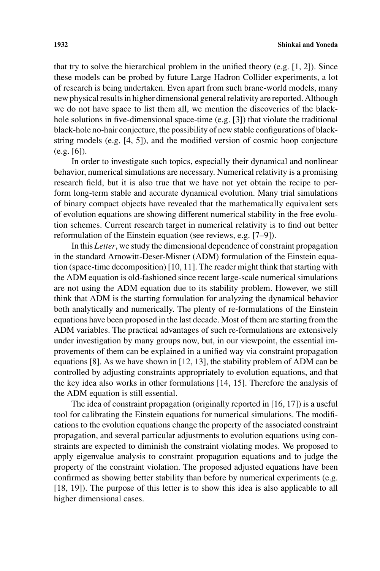that try to solve the hierarchical problem in the unified theory  $(e.g., [1, 2])$ . Since these models can be probed by future Large Hadron Collider experiments, a lot of research is being undertaken. Even apart from such brane-world models, many new physical results in higher dimensional general relativity are reported. Although we do not have space to list them all, we mention the discoveries of the blackhole solutions in five-dimensional space-time (e.g. [3]) that violate the traditional black-hole no-hair conjecture, the possibility of new stable configurations of blackstring models (e.g. [4, 5]), and the modified version of cosmic hoop conjecture (e.g. [6]).

In order to investigate such topics, especially their dynamical and nonlinear behavior, numerical simulations are necessary. Numerical relativity is a promising research field, but it is also true that we have not yet obtain the recipe to perform long-term stable and accurate dynamical evolution. Many trial simulations of binary compact objects have revealed that the mathematically equivalent sets of evolution equations are showing different numerical stability in the free evolution schemes. Current research target in numerical relativity is to find out better reformulation of the Einstein equation (see reviews, e.g. [7–9]).

In this *Letter*, we study the dimensional dependence of constraint propagation in the standard Arnowitt-Deser-Misner (ADM) formulation of the Einstein equation (space-time decomposition) [10, 11]. The reader might think that starting with the ADM equation is old-fashioned since recent large-scale numerical simulations are not using the ADM equation due to its stability problem. However, we still think that ADM is the starting formulation for analyzing the dynamical behavior both analytically and numerically. The plenty of re-formulations of the Einstein equations have been proposed in the last decade. Most of them are starting from the ADM variables. The practical advantages of such re-formulations are extensively under investigation by many groups now, but, in our viewpoint, the essential improvements of them can be explained in a unified way via constraint propagation equations [8]. As we have shown in [12, 13], the stability problem of ADM can be controlled by adjusting constraints appropriately to evolution equations, and that the key idea also works in other formulations [14, 15]. Therefore the analysis of the ADM equation is still essential.

The idea of constraint propagation (originally reported in [16, 17]) is a useful tool for calibrating the Einstein equations for numerical simulations. The modifications to the evolution equations change the property of the associated constraint propagation, and several particular adjustments to evolution equations using constraints are expected to diminish the constraint violating modes. We proposed to apply eigenvalue analysis to constraint propagation equations and to judge the property of the constraint violation. The proposed adjusted equations have been confirmed as showing better stability than before by numerical experiments (e.g. [18, 19]). The purpose of this letter is to show this idea is also applicable to all higher dimensional cases.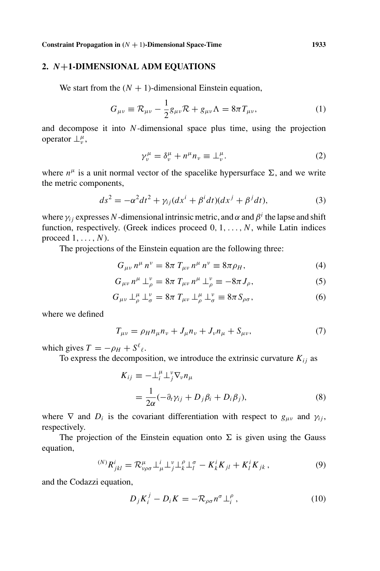**Constraint Propagation in**  $(N + 1)$ -Dimensional Space-Time 1933

#### **2.** *N***+1-DIMENSIONAL ADM EQUATIONS**

We start from the  $(N + 1)$ -dimensional Einstein equation,

$$
G_{\mu\nu} \equiv \mathcal{R}_{\mu\nu} - \frac{1}{2} g_{\mu\nu} \mathcal{R} + g_{\mu\nu} \Lambda = 8\pi T_{\mu\nu}, \qquad (1)
$$

and decompose it into *N*-dimensional space plus time, using the projection operator  $\perp^{\mu}_{\nu}$ ,

$$
\gamma_v^{\mu} = \delta_v^{\mu} + n^{\mu} n_v \equiv \perp_v^{\mu}.
$$
 (2)

where  $n^{\mu}$  is a unit normal vector of the spacelike hypersurface  $\Sigma$ , and we write the metric components,

$$
ds^{2} = -\alpha^{2}dt^{2} + \gamma_{ij}(dx^{i} + \beta^{i}dt)(dx^{j} + \beta^{j}dt),
$$
\n(3)

where  $\gamma_{ij}$  expresses *N*-dimensional intrinsic metric, and  $\alpha$  and  $\beta^i$  the lapse and shift function, respectively. (Greek indices proceed 0, 1,..., *N*, while Latin indices proceed 1,..., *N*).

The projections of the Einstein equation are the following three:

$$
G_{\mu\nu} n^{\mu} n^{\nu} = 8\pi T_{\mu\nu} n^{\mu} n^{\nu} \equiv 8\pi \rho_H, \tag{4}
$$

$$
G_{\mu\nu} n^{\mu} \perp_{\rho}^{\nu} = 8\pi \ T_{\mu\nu} n^{\mu} \perp_{\rho}^{\nu} \equiv -8\pi J_{\rho}, \tag{5}
$$

$$
G_{\mu\nu} \perp^{\mu}_{\rho} \perp^{\nu}_{\sigma} = 8\pi \; T_{\mu\nu} \perp^{\mu}_{\rho} \perp^{\nu}_{\sigma} \equiv 8\pi \, S_{\rho\sigma}, \tag{6}
$$

where we defined

$$
T_{\mu\nu} = \rho_H n_{\mu} n_{\nu} + J_{\mu} n_{\nu} + J_{\nu} n_{\mu} + S_{\mu\nu}, \tag{7}
$$

which gives  $T = -\rho_H + S^{\ell}_{\ell}$ .

To express the decomposition, we introduce the extrinsic curvature  $K_{ij}$  as

$$
K_{ij} \equiv -\perp_i^{\mu} \perp_j^{\nu} \nabla_{\nu} n_{\mu}
$$
  
= 
$$
\frac{1}{2\alpha} (-\partial_t \gamma_{ij} + D_j \beta_i + D_i \beta_j),
$$
 (8)

where  $\nabla$  and  $D_i$  is the covariant differentiation with respect to  $g_{\mu\nu}$  and  $\gamma_{ij}$ , respectively.

The projection of the Einstein equation onto  $\Sigma$  is given using the Gauss equation,

$$
{}^{(N)}R^i_{jkl} = \mathcal{R}^\mu_{\nu\rho\sigma} \perp^i_\mu \perp^\nu_j \perp^{\rho}_k \perp^{\sigma}_l - K^i_k K_{jl} + K^i_l K_{jk}, \qquad (9)
$$

and the Codazzi equation,

$$
D_j K_i^j - D_i K = -\mathcal{R}_{\rho\sigma} n^{\sigma} \perp_i^{\rho} , \qquad (10)
$$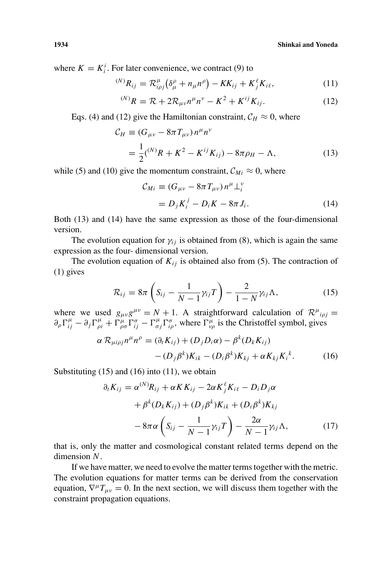where  $K = K_i^i$ . For later convenience, we contract (9) to

$$
^{(N)}R_{ij} = \mathcal{R}_{i\rho j}^{\mu} \left( \delta_{\mu}^{\rho} + n_{\mu}n^{\rho} \right) - KK_{ij} + K_{j}^{\ell}K_{i\ell}, \qquad (11)
$$

$$
^{(N)}R = \mathcal{R} + 2\mathcal{R}_{\mu\nu}n^{\mu}n^{\nu} - K^2 + K^{ij}K_{ij}.
$$
 (12)

Eqs. (4) and (12) give the Hamiltonian constraint,  $C_H \approx 0$ , where

$$
\mathcal{C}_H \equiv (G_{\mu\nu} - 8\pi T_{\mu\nu}) n^{\mu} n^{\nu}
$$
  
=  $\frac{1}{2}({}^{(N)}R + K^2 - K^{ij}K_{ij}) - 8\pi \rho_H - \Lambda,$  (13)

while (5) and (10) give the momentum constraint,  $\mathcal{C}_{Mi} \approx 0$ , where

$$
\mathcal{C}_{Mi} \equiv (G_{\mu\nu} - 8\pi T_{\mu\nu}) n^{\mu} \perp_i^{\nu}
$$
  
=  $D_j K_i^j - D_i K - 8\pi J_i.$  (14)

Both (13) and (14) have the same expression as those of the four-dimensional version.

The evolution equation for  $\gamma_{ij}$  is obtained from (8), which is again the same expression as the four- dimensional version.

The evolution equation of  $K_{ij}$  is obtained also from (5). The contraction of (1) gives

$$
\mathcal{R}_{ij} = 8\pi \left( S_{ij} - \frac{1}{N-1} \gamma_{ij} T \right) - \frac{2}{1-N} \gamma_{ij} \Lambda, \tag{15}
$$

where we used  $g_{\mu\nu}g^{\mu\nu} = N + 1$ . A straightforward calculation of  $\mathcal{R}^{\mu}{}_{i\rho} =$  $\partial_{\rho} \Gamma_{ij}^{\mu} - \partial_{j} \Gamma_{\rho i}^{\mu} + \Gamma_{\rho \sigma}^{\mu} \Gamma_{ij}^{\sigma} - \Gamma_{\sigma j}^{\mu} \Gamma_{i \rho}^{\sigma}$ , where  $\Gamma_{\nu \rho}^{\mu}$  is the Christoffel symbol, gives

$$
\alpha \mathcal{R}_{\mu i \rho j} n^{\mu} n^{\rho} = (\partial_t K_{ij}) + (D_j D_i \alpha) - \beta^k (D_k K_{ij})
$$

$$
- (D_j \beta^k) K_{ik} - (D_i \beta^k) K_{kj} + \alpha K_{kj} K_i^k. \tag{16}
$$

Substituting  $(15)$  and  $(16)$  into  $(11)$ , we obtain

$$
\partial_t K_{ij} = \alpha^{(N)} R_{ij} + \alpha K K_{ij} - 2\alpha K_j^{\ell} K_{i\ell} - D_i D_j \alpha
$$
  
+  $\beta^{k} (D_k K_{ij}) + (D_j \beta^{k}) K_{ik} + (D_i \beta^{k}) K_{kj}$   
-  $8\pi \alpha \left( S_{ij} - \frac{1}{N-1} \gamma_{ij} T \right) - \frac{2\alpha}{N-1} \gamma_{ij} \Lambda,$  (17)

that is, only the matter and cosmological constant related terms depend on the dimension *N*.

If we have matter, we need to evolve the matter terms together with the metric. The evolution equations for matter terms can be derived from the conservation equation,  $\nabla^{\mu}T_{\mu\nu} = 0$ . In the next section, we will discuss them together with the constraint propagation equations.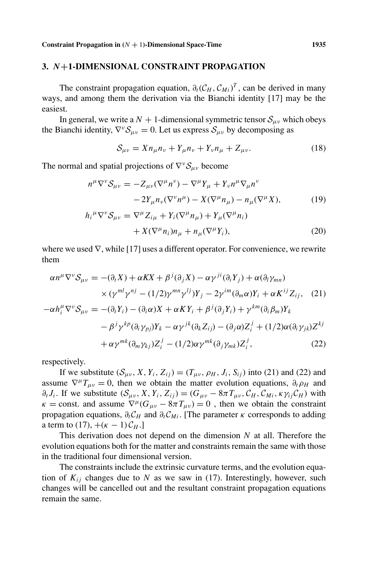#### **3.** *N***+1-DIMENSIONAL CONSTRAINT PROPAGATION**

The constraint propagation equation,  $\partial_t(C_H, C_{Mi})^T$ , can be derived in many ways, and among them the derivation via the Bianchi identity [17] may be the easiest.

In general, we write a  $N + 1$ -dimensional symmetric tensor  $S_{\mu\nu}$  which obeys the Bianchi identity,  $\nabla^{\nu} S_{\mu\nu} = 0$ . Let us express  $S_{\mu\nu}$  by decomposing as

$$
S_{\mu\nu} = X n_{\mu} n_{\nu} + Y_{\mu} n_{\nu} + Y_{\nu} n_{\mu} + Z_{\mu\nu}.
$$
 (18)

The normal and spatial projections of  $\nabla^{\nu}S_{\mu\nu}$  become

$$
n^{\mu}\nabla^{\nu}\mathcal{S}_{\mu\nu} = -Z_{\mu\nu}(\nabla^{\mu}n^{\nu}) - \nabla^{\mu}Y_{\mu} + Y_{\nu}n^{\mu}\nabla_{\mu}n^{\nu}
$$

$$
-2Y_{\mu}n_{\nu}(\nabla^{\nu}n^{\mu}) - X(\nabla^{\mu}n_{\mu}) - n_{\mu}(\nabla^{\mu}X), \tag{19}
$$

$$
h_{i}{}^{\mu}\nabla^{\nu}\mathcal{S}_{\mu\nu} = \nabla^{\mu}Z_{i\mu} + Y_{i}(\nabla^{\mu}n_{\mu}) + Y_{\mu}(\nabla^{\mu}n_{i})
$$

$$
+ X(\nabla^{\mu} n_i) n_{\mu} + n_{\mu}(\nabla^{\mu} Y_i), \tag{20}
$$

where we used  $\nabla$ , while [17] uses a different operator. For convenience, we rewrite them

$$
\alpha n^{\mu} \nabla^{\nu} S_{\mu\nu} = -(\partial_{t} X) + \alpha K X + \beta^{j} (\partial_{j} X) - \alpha \gamma^{ji} (\partial_{i} Y_{j}) + \alpha (\partial_{i} \gamma_{mn})
$$
  
\n
$$
\times (\gamma^{ml} \gamma^{nj} - (1/2) \gamma^{mn} \gamma^{lj}) Y_{j} - 2 \gamma^{im} (\partial_{m} \alpha) Y_{i} + \alpha K^{ij} Z_{ij}, \quad (21)
$$
  
\n
$$
-\alpha h_{i}^{\mu} \nabla^{\nu} S_{\mu\nu} = -(\partial_{t} Y_{i}) - (\partial_{i} \alpha) X + \alpha K Y_{i} + \beta^{j} (\partial_{j} Y_{i}) + \gamma^{km} (\partial_{i} \beta_{m}) Y_{k}
$$
  
\n
$$
- \beta^{j} \gamma^{kp} (\partial_{i} \gamma_{pj}) Y_{k} - \alpha \gamma^{jk} (\partial_{k} Z_{ij}) - (\partial_{j} \alpha) Z_{i}^{j} + (1/2) \alpha (\partial_{i} \gamma_{jk}) Z^{kj}
$$
  
\n
$$
+ \alpha \gamma^{mk} (\partial_{m} \gamma_{kj}) Z_{i}^{j} - (1/2) \alpha \gamma^{mk} (\partial_{j} \gamma_{mk}) Z_{i}^{j}, \quad (22)
$$

respectively.

If we substitute  $(S_{\mu\nu}, X, Y_i, Z_{ij}) = (T_{\mu\nu}, \rho_H, J_i, S_{ij})$  into (21) and (22) and assume  $\nabla^{\mu}T_{\mu\nu} = 0$ , then we obtain the matter evolution equations,  $\partial_{t}\rho_{H}$  and  $\partial_t J_i$ . If we substitute  $(S_{\mu\nu}, X, Y_i, Z_{ij}) = (G_{\mu\nu} - 8\pi T_{\mu\nu}, C_H, C_M, \kappa \gamma_{ij} C_H)$  with  $\kappa$  = const. and assume  $\nabla^{\mu}$ ( $G_{\mu\nu}$  –  $8\pi T_{\mu\nu}$ ) = 0, then we obtain the constraint propagation equations,  $\partial_t C_H$  and  $\partial_t C_M$ . [The parameter  $\kappa$  corresponds to adding a term to (17),  $+(\kappa - 1)\mathcal{C}_H$ .]

This derivation does not depend on the dimension *N* at all. Therefore the evolution equations both for the matter and constraints remain the same with those in the traditional four dimensional version.

The constraints include the extrinsic curvature terms, and the evolution equation of  $K_{ij}$  changes due to N as we saw in (17). Interestingly, however, such changes will be cancelled out and the resultant constraint propagation equations remain the same.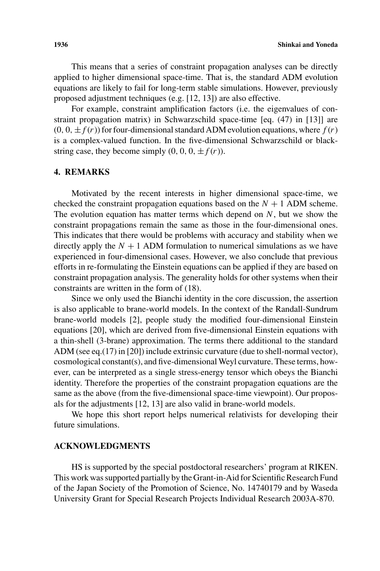This means that a series of constraint propagation analyses can be directly applied to higher dimensional space-time. That is, the standard ADM evolution equations are likely to fail for long-term stable simulations. However, previously proposed adjustment techniques (e.g. [12, 13]) are also effective.

For example, constraint amplification factors (i.e. the eigenvalues of constraint propagation matrix) in Schwarzschild space-time [eq. (47) in [13]] are  $(0, 0, \pm f(r))$  for four-dimensional standard ADM evolution equations, where  $f(r)$ is a complex-valued function. In the five-dimensional Schwarzschild or blackstring case, they become simply  $(0, 0, 0, \pm f(r))$ .

#### **4. REMARKS**

Motivated by the recent interests in higher dimensional space-time, we checked the constraint propagation equations based on the  $N + 1$  ADM scheme. The evolution equation has matter terms which depend on *N*, but we show the constraint propagations remain the same as those in the four-dimensional ones. This indicates that there would be problems with accuracy and stability when we directly apply the  $N + 1$  ADM formulation to numerical simulations as we have experienced in four-dimensional cases. However, we also conclude that previous efforts in re-formulating the Einstein equations can be applied if they are based on constraint propagation analysis. The generality holds for other systems when their constraints are written in the form of (18).

Since we only used the Bianchi identity in the core discussion, the assertion is also applicable to brane-world models. In the context of the Randall-Sundrum brane-world models [2], people study the modified four-dimensional Einstein equations [20], which are derived from five-dimensional Einstein equations with a thin-shell (3-brane) approximation. The terms there additional to the standard ADM (see eq.(17) in [20]) include extrinsic curvature (due to shell-normal vector), cosmological constant(s), and five-dimensional Weyl curvature. These terms, however, can be interpreted as a single stress-energy tensor which obeys the Bianchi identity. Therefore the properties of the constraint propagation equations are the same as the above (from the five-dimensional space-time viewpoint). Our proposals for the adjustments [12, 13] are also valid in brane-world models.

We hope this short report helps numerical relativists for developing their future simulations.

#### **ACKNOWLEDGMENTS**

HS is supported by the special postdoctoral researchers' program at RIKEN. This work was supported partially by the Grant-in-Aid for Scientific Research Fund of the Japan Society of the Promotion of Science, No. 14740179 and by Waseda University Grant for Special Research Projects Individual Research 2003A-870.